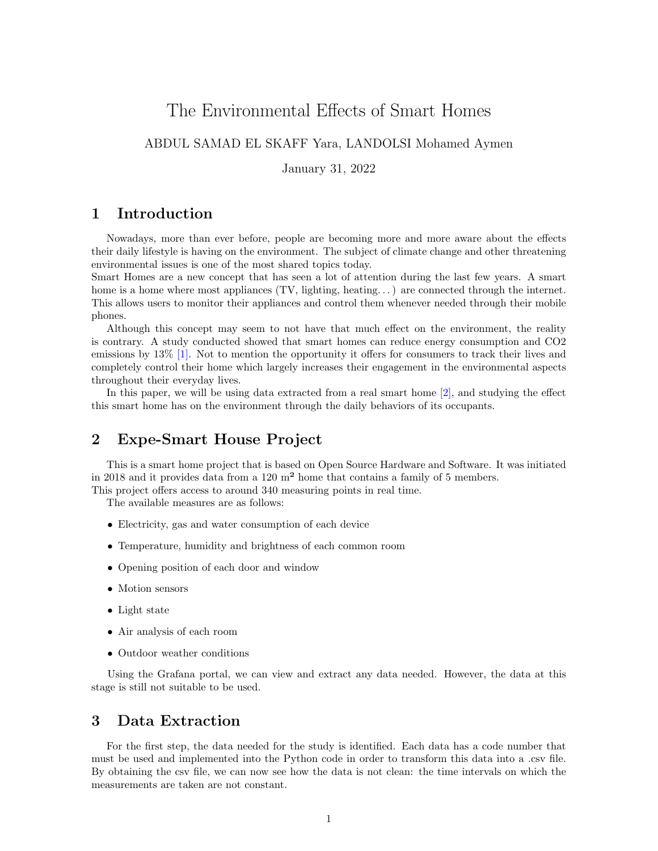# The Environmental Effects of Smart Homes

### ABDUL SAMAD EL SKAFF Yara, LANDOLSI Mohamed Aymen

January 31, 2022

### 1 Introduction

Nowadays, more than ever before, people are becoming more and more aware about the effects their daily lifestyle is having on the environment. The subject of climate change and other threatening environmental issues is one of the most shared topics today.

Smart Homes are a new concept that has seen a lot of attention during the last few years. A smart home is a home where most appliances  $(TV,$  lighting, heating...) are connected through the internet. This allows users to monitor their appliances and control them whenever needed through their mobile phones.

Although this concept may seem to not have that much effect on the environment, the reality is contrary. A study conducted showed that smart homes can reduce energy consumption and CO2 emissions by 13% [\[1\].](https://www.envirotech-online.com/news/environmental-laboratory/7/breaking-news/how-does-smart-home-automation-affect-the-environment/45838#:~:text=Previous%20studies%20on%20the%20subject,down%20CO2%20emissions%20by%2013%25) Not to mention the opportunity it offers for consumers to track their lives and completely control their home which largely increases their engagement in the environmental aspects throughout their everyday lives.

In this paper, we will be using data extracted from a real smart home [\[2\],](http://expe-smarthouse.org/index.php/en/project/) and studying the effect this smart home has on the environment through the daily behaviors of its occupants.

## 2 Expe-Smart House Project

This is a smart home project that is based on Open Source Hardware and Software. It was initiated in 2018 and it provides data from a 120 m² home that contains a family of 5 members. This project offers access to around 340 measuring points in real time.

The available measures are as follows:

- Electricity, gas and water consumption of each device
- Temperature, humidity and brightness of each common room
- Opening position of each door and window
- Motion sensors
- Light state
- Air analysis of each room
- Outdoor weather conditions

Using the Grafana portal, we can view and extract any data needed. However, the data at this stage is still not suitable to be used.

### 3 Data Extraction

For the first step, the data needed for the study is identified. Each data has a code number that must be used and implemented into the Python code in order to transform this data into a .csv file. By obtaining the csv file, we can now see how the data is not clean: the time intervals on which the measurements are taken are not constant.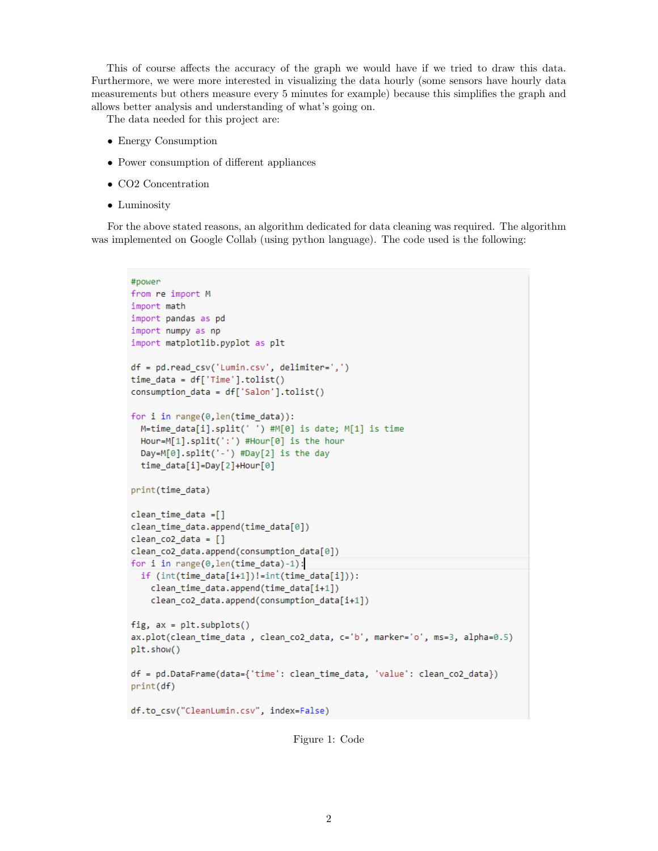This of course affects the accuracy of the graph we would have if we tried to draw this data. Furthermore, we were more interested in visualizing the data hourly (some sensors have hourly data measurements but others measure every 5 minutes for example) because this simplifies the graph and allows better analysis and understanding of what's going on.

The data needed for this project are:

- Energy Consumption
- Power consumption of different appliances
- CO2 Concentration
- Luminosity

For the above stated reasons, an algorithm dedicated for data cleaning was required. The algorithm was implemented on Google Collab (using python language). The code used is the following:

```
#power
from re import M
import math
import pandas as pd
import numpy as np
import matplotlib.pyplot as plt
df = pd.read_csv('Lumin.csv', delimiter=',')
time data = df['Time'] . \n  tolist()consumption_data = df['Salon'].tolist()
for i in range(0, len(time_data)):
 M=time_data[i].split(' ') #M[0] is date; M[1] is time
 Hour=M[1].split(':') #Hour[0] is the hour
  Day=M[0].split('-') #Day[2] is the day
  time_data[i]=Day[2]+Hour[0]
print(time_data)
clean_time_data =[]
clean_time_data.append(time_data[0])
clean_{co2} data = []clean_co2_data.append(consumption_data[0])
for i in range(\theta, len(time_data)-1):
  if (int(time_data[i+1]):=int(time_data[i])):
    clean_time_data.append(time_data[i+1])
    clean_co2_data.append(consumption_data[i+1])
fig, ax = plt.subplots()ax.plot(clean_time_data , clean_co2_data, c='b', marker='o', ms=3, alpha=0.5)
plt.show()
df = pd.DataFrame(data={'time': clean_time_data, 'value': clean_co2_data})
print(df)
df.to_csv("CleanLumin.csv", index=False)
```
Figure 1: Code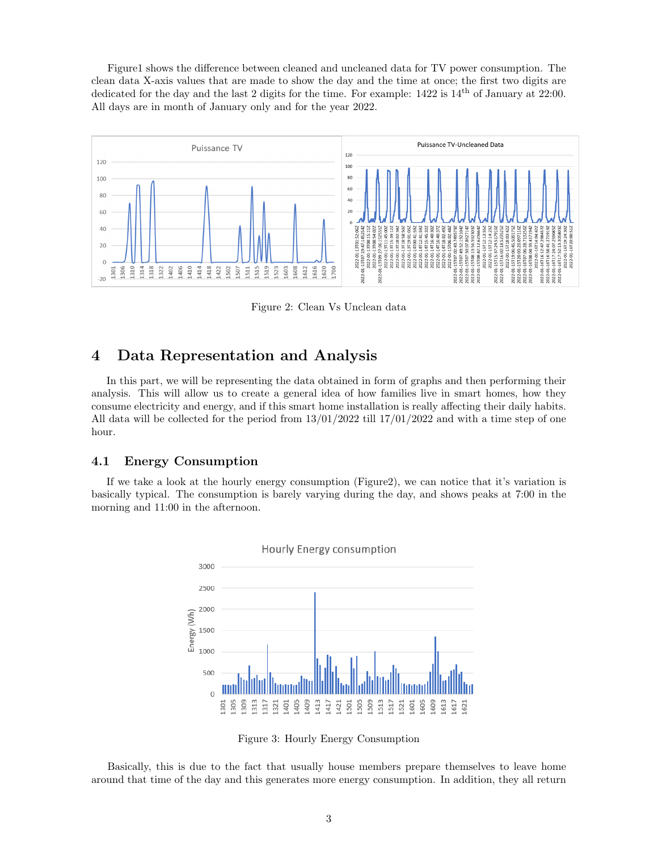Figure1 shows the difference between cleaned and uncleaned data for TV power consumption. The clean data X-axis values that are made to show the day and the time at once; the first two digits are dedicated for the day and the last 2 digits for the time. For example:  $1422$  is  $14<sup>th</sup>$  of January at 22:00. All days are in month of January only and for the year 2022.



Figure 2: Clean Vs Unclean data

# 4 Data Representation and Analysis

In this part, we will be representing the data obtained in form of graphs and then performing their analysis. This will allow us to create a general idea of how families live in smart homes, how they consume electricity and energy, and if this smart home installation is really affecting their daily habits. All data will be collected for the period from  $13/01/2022$  till  $17/01/2022$  and with a time step of one hour.

#### 4.1 Energy Consumption

If we take a look at the hourly energy consumption (Figure2), we can notice that it's variation is basically typical. The consumption is barely varying during the day, and shows peaks at 7:00 in the morning and 11:00 in the afternoon.



Figure 3: Hourly Energy Consumption

Basically, this is due to the fact that usually house members prepare themselves to leave home around that time of the day and this generates more energy consumption. In addition, they all return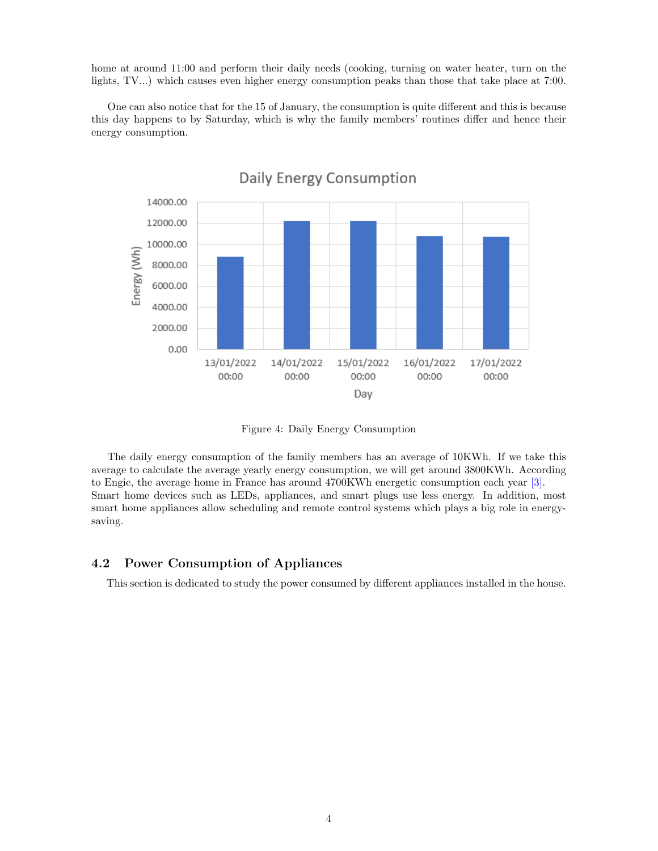home at around 11:00 and perform their daily needs (cooking, turning on water heater, turn on the lights, TV...) which causes even higher energy consumption peaks than those that take place at 7:00.

One can also notice that for the 15 of January, the consumption is quite different and this is because this day happens to by Saturday, which is why the family members' routines differ and hence their energy consumption.



Daily Energy Consumption

Figure 4: Daily Energy Consumption

The daily energy consumption of the family members has an average of 10KWh. If we take this average to calculate the average yearly energy consumption, we will get around 3800KWh. According to Engie, the average home in France has around 4700KWh energetic consumption each year [\[3\].](https://particuliers.engie.fr/electricite/conseils-electricite/conseils-relever-compteur-electricite/consommation-electrique-francais.html) Smart home devices such as LEDs, appliances, and smart plugs use less energy. In addition, most smart home appliances allow scheduling and remote control systems which plays a big role in energysaving.

#### 4.2 Power Consumption of Appliances

This section is dedicated to study the power consumed by different appliances installed in the house.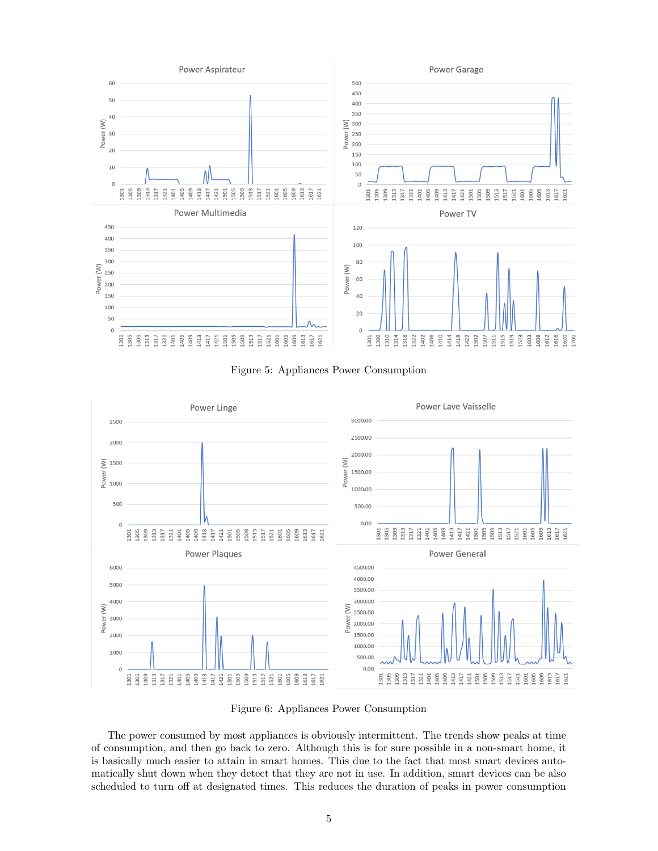

Figure 5: Appliances Power Consumption



Figure 6: Appliances Power Consumption

The power consumed by most appliances is obviously intermittent. The trends show peaks at time of consumption, and then go back to zero. Although this is for sure possible in a non-smart home, it is basically much easier to attain in smart homes. This due to the fact that most smart devices automatically shut down when they detect that they are not in use. In addition, smart devices can be also scheduled to turn off at designated times. This reduces the duration of peaks in power consumption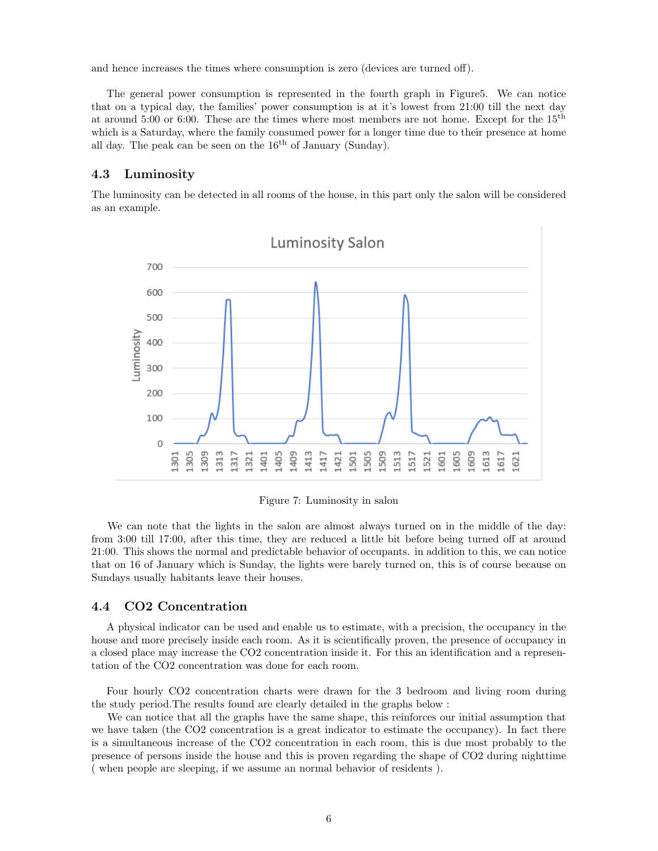and hence increases the times where consumption is zero (devices are turned off).

The general power consumption is represented in the fourth graph in Figure5. We can notice that on a typical day, the families' power consumption is at it's lowest from 21:00 till the next day at around 5:00 or 6:00. These are the times where most members are not home. Except for the 15th which is a Saturday, where the family consumed power for a longer time due to their presence at home all day. The peak can be seen on the  $16<sup>th</sup>$  of January (Sunday).

#### 4.3 Luminosity

The luminosity can be detected in all rooms of the house, in this part only the salon will be considered as an example.



Figure 7: Luminosity in salon

We can note that the lights in the salon are almost always turned on in the middle of the day: from 3:00 till 17:00, after this time, they are reduced a little bit before being turned off at around 21:00. This shows the normal and predictable behavior of occupants. in addition to this, we can notice that on 16 of January which is Sunday, the lights were barely turned on, this is of course because on Sundays usually habitants leave their houses.

#### 4.4 CO2 Concentration

A physical indicator can be used and enable us to estimate, with a precision, the occupancy in the house and more precisely inside each room. As it is scientifically proven, the presence of occupancy in a closed place may increase the CO2 concentration inside it. For this an identification and a representation of the CO2 concentration was done for each room.

Four hourly CO2 concentration charts were drawn for the 3 bedroom and living room during the study period.The results found are clearly detailed in the graphs below :

We can notice that all the graphs have the same shape, this reinforces our initial assumption that we have taken (the CO2 concentration is a great indicator to estimate the occupancy). In fact there is a simultaneous increase of the CO2 concentration in each room, this is due most probably to the presence of persons inside the house and this is proven regarding the shape of CO2 during nighttime ( when people are sleeping, if we assume an normal behavior of residents ).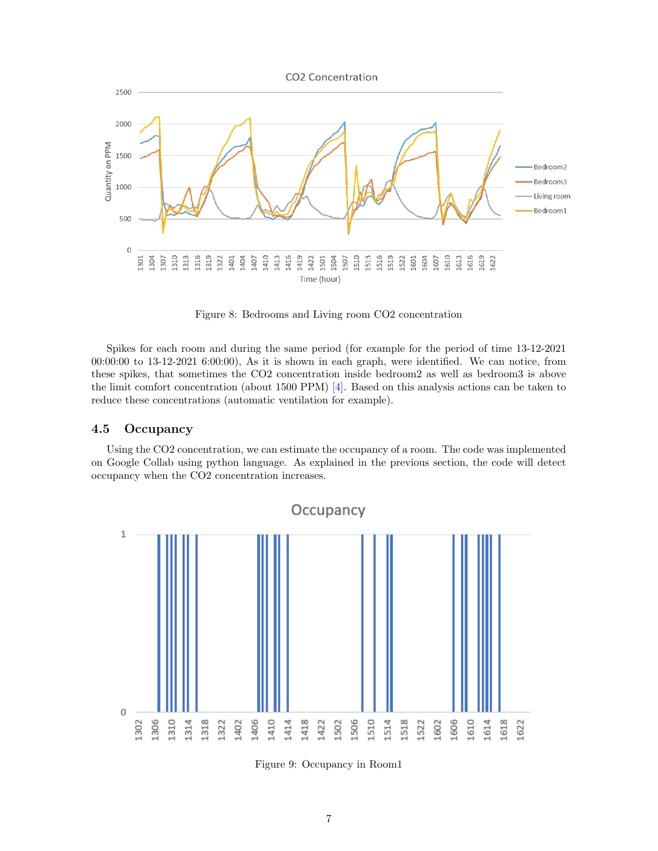

Figure 8: Bedrooms and Living room CO2 concentration

Spikes for each room and during the same period (for example for the period of time 13-12-2021 00:00:00 to 13-12-2021 6:00:00), As it is shown in each graph, were identified. We can notice, from these spikes, that sometimes the CO2 concentration inside bedroom2 as well as bedroom3 is above the limit comfort concentration (about 1500 PPM)  $|4|$ . Based on this analysis actions can be taken to reduce these concentrations (automatic ventilation for example).

#### 4.5 Occupancy

Using the CO2 concentration, we can estimate the occupancy of a room. The code was implemented on Google Collab using python language. As explained in the previous section, the code will detect occupancy when the CO2 concentration increases.



Figure 9: Occupancy in Room1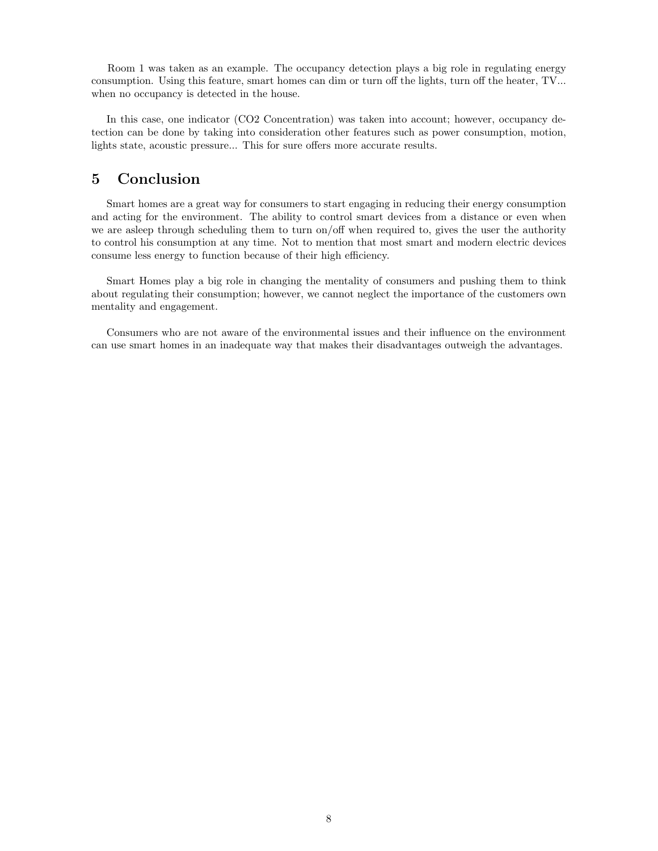Room 1 was taken as an example. The occupancy detection plays a big role in regulating energy consumption. Using this feature, smart homes can dim or turn off the lights, turn off the heater, TV... when no occupancy is detected in the house.

In this case, one indicator (CO2 Concentration) was taken into account; however, occupancy detection can be done by taking into consideration other features such as power consumption, motion, lights state, acoustic pressure... This for sure offers more accurate results.

# 5 Conclusion

Smart homes are a great way for consumers to start engaging in reducing their energy consumption and acting for the environment. The ability to control smart devices from a distance or even when we are asleep through scheduling them to turn on/off when required to, gives the user the authority to control his consumption at any time. Not to mention that most smart and modern electric devices consume less energy to function because of their high efficiency.

Smart Homes play a big role in changing the mentality of consumers and pushing them to think about regulating their consumption; however, we cannot neglect the importance of the customers own mentality and engagement.

Consumers who are not aware of the environmental issues and their influence on the environment can use smart homes in an inadequate way that makes their disadvantages outweigh the advantages.